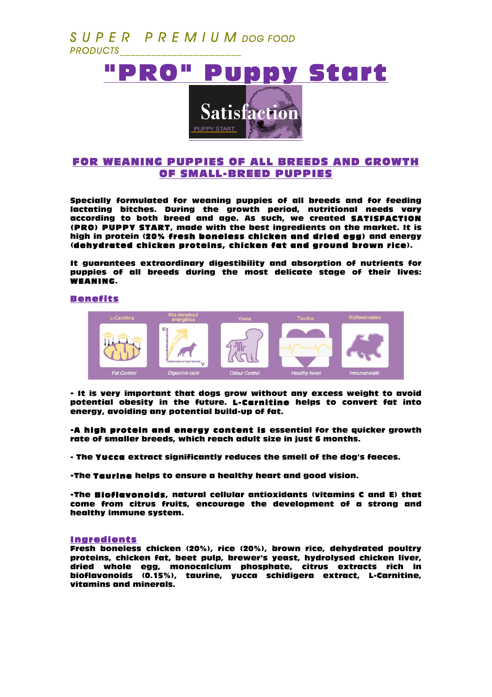# *S U P E R P R E M I U M DOG FOOD PRODUCTS\_\_\_\_\_\_\_\_\_\_\_\_\_\_\_\_\_\_\_\_\_\_\_*





# FOR WEANING PUPPIES OF ALL BREEDS AND GROWTH OF SMALL-BREED PUPPIES

Specially formulated for weaning puppies of all breeds and for feeding lactating bitches. During the growth period, nutritional needs vary according to both breed and age. As such, we created SATISFACTION (PRO) PUPPY START, made with the best ingredients on the market. It is high in protein (20% fresh boneless chicken and dried egg) and energy (dehydrated chicken proteins, chicken fat and ground brown rice).

It guarantees extraordinary digestibility and absorption of nutrients for puppies of all breeds during the most delicate stage of their lives: WEANING.

## Benefits



- It is very important that dogs grow without any excess weight to avoid potential obesity in the future. L-Carnitine helps to convert fat into energy, avoiding any potential build-up of fat.

-A high protein and energy content is essential for the quicker growth rate of smaller breeds, which reach adult size in just 6 months.

- The Yucca extract significantly reduces the smell of the dog's faeces.

-The Taurine helps to ensure a healthy heart and good vision.

-The Bioflavonoids, natural cellular antioxidants (vitamins C and E) that come from citrus fruits, encourage the development of a strong and healthy immune system.

#### Ingredients

Fresh boneless chicken (20%), rice (20%), brown rice, dehydrated poultry proteins, chicken fat, beet pulp, brewer's yeast, hydrolysed chicken liver, dried whole egg, monocalcium phosphate, citrus extracts rich in bioflavonoids (0.15%), taurine, yucca schidigera extract, L-Carnitine, vitamins and minerals.